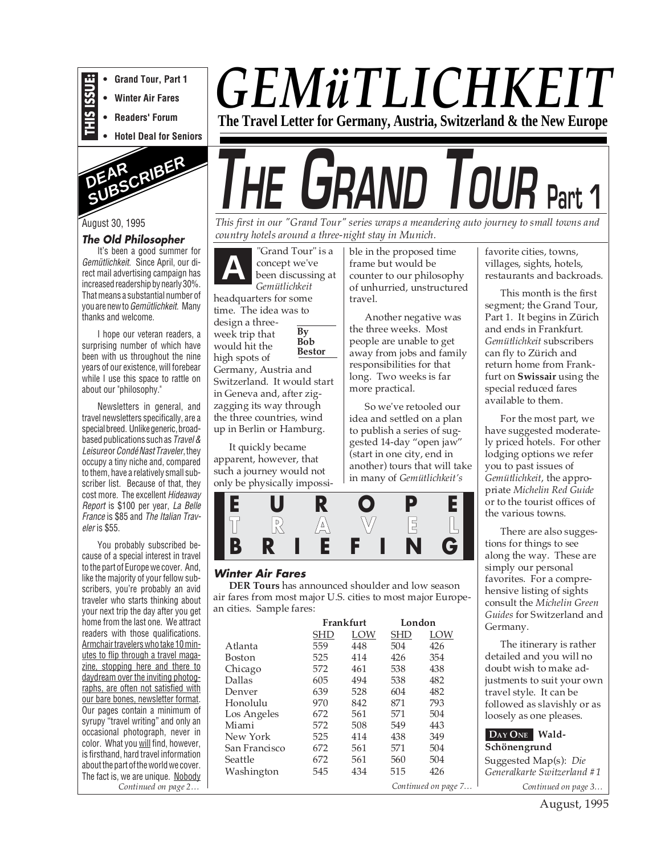

**• Winter Air Fares**

**• Grand Tour, Part 1**

**• Readers' Forum**

**• Hotel Deal for Seniors**



#### August 30, 1995

#### **The Old Philosopher**

It's been a good summer for Gemütlichkeit. Since April, our direct mail advertising campaign has increased readership by nearly 30%. That means a substantial number of you are new to Gemütlichkeit. Many thanks and welcome.

I hope our veteran readers, a surprising number of which have been with us throughout the nine years of our existence, will forebear while I use this space to rattle on about our "philosophy."

Newsletters in general, and travel newsletters specifically, are a special breed. Unlike generic, broadbased publications such as Travel & Leisureor Condé Nast Traveler, they occupy a tiny niche and, compared to them, have a relatively small subscriber list. Because of that, they cost more. The excellent Hideaway Report is \$100 per year, La Belle France is \$85 and The Italian Traveler is \$55.

You probably subscribed because of a special interest in travel to the part of Europe we cover. And, like the majority of your fellow subscribers, you're probably an avid traveler who starts thinking about your next trip the day after you get home from the last one. We attract readers with those qualifications. Armchair travelers who take 10 minutes to flip through a travel magazine, stopping here and there to daydream over the inviting photographs, are often not satisfied with our bare bones, newsletter format. Our pages contain a minimum of syrupy "travel writing" and only an occasional photograph, never in color. What you will find, however, is firsthand, hard travel information about the part of the world we cover. The fact is, we are unique. Nobody *Continued on page 2…*

## *GEMüTLICHKEIT* **The Travel Letter for Germany, Austria, Switzerland & the New Europe**

# **THE GRAND TOUR Part 1**

*This first in our "Grand Tour" series wraps a meandering auto journey to small towns and country hotels around a three-night stay in Munich.*

"Grand Tour" is a concept we've been discussing at *Gemütlichkeit* headquarters for some **A**

**By Bob Bestor** time. The idea was to design a threeweek trip that would hit the high spots of

Germany, Austria and Switzerland. It would start in Geneva and, after zigzagging its way through the three countries, wind up in Berlin or Hamburg.

It quickly became apparent, however, that such a journey would not only be physically impossible in the proposed time frame but would be counter to our philosophy of unhurried, unstructured travel.

Another negative was the three weeks. Most people are unable to get away from jobs and family responsibilities for that long. Two weeks is far more practical.

So we've retooled our idea and settled on a plan to publish a series of suggested 14-day "open jaw" (start in one city, end in another) tours that will take in many of *Gemütlichkeit's*



#### **Winter Air Fares**

**DER Tours** has announced shoulder and low season air fares from most major U.S. cities to most major European cities. Sample fares:

|               | Frankfurt           |     | London     |     |  |
|---------------|---------------------|-----|------------|-----|--|
|               | SHD                 | LOW | <b>SHD</b> | LOW |  |
| Atlanta       | 559                 | 448 | 504        | 426 |  |
| Boston        | 525                 | 414 | 426        | 354 |  |
| Chicago       | 572                 | 461 | 538        | 438 |  |
| Dallas        | 605                 | 494 | 538        | 482 |  |
| Denver        | 639                 | 528 | 604        | 482 |  |
| Honolulu      | 970                 | 842 | 871        | 793 |  |
| Los Angeles   | 672                 | 561 | 571        | 504 |  |
| Miami         | 572                 | 508 | 549        | 443 |  |
| New York      | 525                 | 414 | 438        | 349 |  |
| San Francisco | 672                 | 561 | 571        | 504 |  |
| Seattle       | 672                 | 561 | 560        | 504 |  |
| Washington    | 545                 | 434 | 515        | 426 |  |
|               | Continued on page 7 |     |            |     |  |

favorite cities, towns, villages, sights, hotels, restaurants and backroads.

This month is the first segment; the Grand Tour, Part 1. It begins in Zürich and ends in Frankfurt. *Gemütlichkeit* subscribers can fly to Zürich and return home from Frankfurt on **Swissair** using the special reduced fares available to them.

For the most part, we have suggested moderately priced hotels. For other lodging options we refer you to past issues of *Gemütlichkeit*, the appropriate *Michelin Red Guide* or to the tourist offices of the various towns.

There are also suggestions for things to see along the way. These are simply our personal favorites. For a comprehensive listing of sights consult the *Michelin Green Guides* for Switzerland and Germany.

The itinerary is rather detailed and you will no doubt wish to make adjustments to suit your own travel style. It can be followed as slavishly or as loosely as one pleases.

**DAY ONE Wald-Schönengrund** Suggested Map(s): *Die Generalkarte Switzerland #1 Continued on page 3…*

August, 1995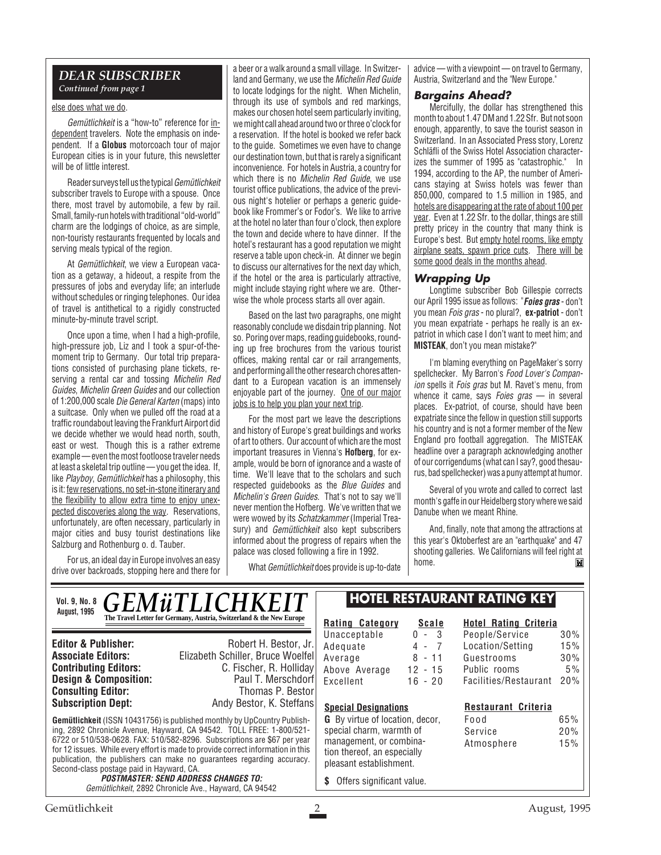#### *DEAR SUBSCRIBER Continued from page 1*

#### else does what we do.

Gemütlichkeit is a "how-to" reference for independent travelers. Note the emphasis on independent. If a **Globus** motorcoach tour of major European cities is in your future, this newsletter will be of little interest.

Reader surveys tell us the typical Gemütlichkeit subscriber travels to Europe with a spouse. Once there, most travel by automobile, a few by rail. Small, family-run hotels with traditional "old-world" charm are the lodgings of choice, as are simple, non-touristy restaurants frequented by locals and serving meals typical of the region.

At Gemütlichkeit, we view a European vacation as a getaway, a hideout, a respite from the pressures of jobs and everyday life; an interlude without schedules or ringing telephones. Our idea of travel is antithetical to a rigidly constructed minute-by-minute travel script.

Once upon a time, when I had a high-profile, high-pressure job, Liz and I took a spur-of-themoment trip to Germany. Our total trip preparations consisted of purchasing plane tickets, reserving a rental car and tossing Michelin Red Guides, Michelin Green Guides and our collection of 1:200,000 scale Die General Karten (maps) into a suitcase. Only when we pulled off the road at a traffic roundabout leaving the Frankfurt Airport did we decide whether we would head north, south, east or west. Though this is a rather extreme example — even the most footloose traveler needs at least a skeletal trip outline — you get the idea. If, like Playboy, Gemütlichkeit has a philosophy, this is it: few reservations, no set-in-stone itinerary and the flexibility to allow extra time to enjoy unexpected discoveries along the way. Reservations, unfortunately, are often necessary, particularly in major cities and busy tourist destinations like Salzburg and Rothenburg o. d. Tauber.

For us, an ideal day in Europe involves an easy drive over backroads, stopping here and there for

a beer or a walk around a small village. In Switzerland and Germany, we use the Michelin Red Guide to locate lodgings for the night. When Michelin, through its use of symbols and red markings, makes our chosen hotel seem particularly inviting, we might call ahead around two or three o'clock for a reservation. If the hotel is booked we refer back to the guide. Sometimes we even have to change our destination town, but that is rarely a significant inconvenience. For hotels in Austria, a country for which there is no *Michelin Red Guide*, we use tourist office publications, the advice of the previous night's hotelier or perhaps a generic guidebook like Frommer's or Fodor's. We like to arrive at the hotel no later than four o'clock, then explore the town and decide where to have dinner. If the hotel's restaurant has a good reputation we might reserve a table upon check-in. At dinner we begin to discuss our alternatives for the next day which, if the hotel or the area is particularly attractive, might include staying right where we are. Otherwise the whole process starts all over again.

Based on the last two paragraphs, one might reasonably conclude we disdain trip planning. Not so. Poring over maps, reading guidebooks, rounding up free brochures from the various tourist offices, making rental car or rail arrangements, and performing all the other research chores attendant to a European vacation is an immensely enjoyable part of the journey. One of our major jobs is to help you plan your next trip.

For the most part we leave the descriptions and history of Europe's great buildings and works of art to others. Our account of which are the most important treasures in Vienna's **Hofberg**, for example, would be born of ignorance and a waste of time. We'll leave that to the scholars and such respected quidebooks as the *Blue Guides* and Michelin's Green Guides. That's not to say we'll never mention the Hofberg. We've written that we were wowed by its Schatzkammer (Imperial Treasury) and *Gemütlichkeit* also kept subscribers informed about the progress of repairs when the palace was closed following a fire in 1992.

What Gemütlichkeit does provide is up-to-date

advice — with a viewpoint — on travel to Germany, Austria, Switzerland and the "New Europe."

#### **Bargains Ahead?**

Mercifully, the dollar has strengthened this month to about 1.47 DM and 1.22 Sfr. But not soon enough, apparently, to save the tourist season in Switzerland. In an Associated Press story, Lorenz Schläfli of the Swiss Hotel Association characterizes the summer of 1995 as "catastrophic." In 1994, according to the AP, the number of Americans staying at Swiss hotels was fewer than 850,000, compared to 1.5 million in 1985, and hotels are disappearing at the rate of about 100 per year. Even at 1.22 Sfr. to the dollar, things are still pretty pricey in the country that many think is Europe's best. But empty hotel rooms, like empty airplane seats, spawn price cuts. There will be some good deals in the months ahead.

#### **Wrapping Up**

Longtime subscriber Bob Gillespie corrects our April 1995 issue as follows: "**Foies gras** - don't you mean Fois gras - no plural?, **ex-patriot** - don't you mean expatriate - perhaps he really is an expatriot in which case I don't want to meet him; and **MISTEAK**, don't you mean mistake?"

I'm blaming everything on PageMaker's sorry spellchecker. My Barron's Food Lover's Companion spells it Fois gras but M. Ravet's menu, from whence it came, says Foies gras  $-$  in several places. Ex-patriot, of course, should have been expatriate since the fellow in question still supports his country and is not a former member of the New England pro football aggregation. The MISTEAK headline over a paragraph acknowledging another of our corrigendums (what can I say?, good thesaurus, bad spellchecker) was a puny attempt at humor.

Several of you wrote and called to correct last month's gaffe in our Heidelberg story where we said Danube when we meant Rhine.

And, finally, note that among the attractions at this year's Oktoberfest are an "earthquake" and 47 shooting galleries. We Californians will feel right at home.  $\mathbb{H}$ 

**Gemütlichkeit** (ISSN 10431756) is published monthly by UpCountry Publishing, 2892 Chronicle Avenue, Hayward, CA 94542. TOLL FREE: 1-800/521- 6722 or 510/538-0628. FAX: 510/582-8296. Subscriptions are \$67 per year for 12 issues. While every effort is made to provide correct information in this publication, the publishers can make no guarantees regarding accuracy. Second-class postage paid in Hayward, CA. **POSTMASTER: SEND ADDRESS CHANGES TO:** Gemütlichkeit, 2892 Chronicle Ave., Hayward, CA 94542 **Editor & Publisher:** Robert H. Bestor, Jr. **Associate Editors:** Elizabeth Schiller, Bruce Woelfel **C. Fischer, R. Holliday**<br>Paul T. Merschdorf **Design & Composition:** Paul T. Merschdorf **Consulting Editor:** Paul T. Merschdorf **Consulting Editor:** Paul Thomas P. Bestor **Consulting Editor:**<br>Subscription Dept: Andy Bestor, K. Steffans *GEMüTLICHKEIT* **The Travel Letter for Germany, Austria, Switzerland & the New Europe**  $\mathbb{R}$ **Rating Category Scale** Unacceptable 0 - 3<br>Adequate 4 - 7 Adequate 4 - 7<br>Average 8 - 11 Average Above Average 12 - 15 Excellent 16 - 20 **Hotel Rating Criteria** People/Service 30% Location/Setting 15% Guestrooms 30% Public rooms 5% Facilities/Restaurant 20% **Special Designations G** By virtue of location, decor, special charm, warmth of management, or combination thereof, an especially pleasant establishment. **\$** Offers significant value. **HOTEL RESTAURANT RATING KEY Restaurant Criteria** Food 65% Service 20% Atmosphere 15% **Vol. 9, No. 8 August, 1995**

Gemütlichkeit 2 August, 1995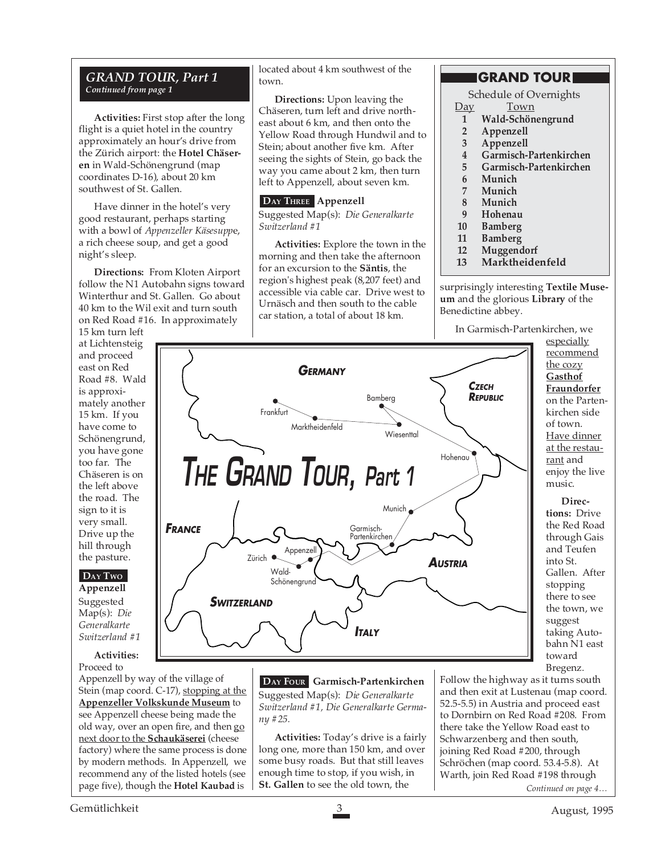#### *GRAND TOUR, Part 1 Continued from page 1*

**Activities:** First stop after the long flight is a quiet hotel in the country approximately an hour's drive from the Zürich airport: the **Hotel Chäseren** in Wald-Schönengrund (map coordinates D-16), about 20 km southwest of St. Gallen.

Have dinner in the hotel's very good restaurant, perhaps starting with a bowl of *Appenzeller Käsesupp*e, a rich cheese soup, and get a good night's sleep.

**Directions:** From Kloten Airport follow the N1 Autobahn signs toward Winterthur and St. Gallen. Go about 40 km to the Wil exit and turn south on Red Road #16. In approximately

15 km turn left at Lichtensteig and proceed east on Red Road #8. Wald is approximately another 15 km. If you have come to Schönengrund, you have gone too far. The Chäseren is on the left above the road. The sign to it is very small. Drive up the hill through the pasture.

#### **DAY TWO**

**Appenzell** Suggested Map(s): *Die Generalkarte Switzerland #1*

**Activities:** Proceed to

Appenzell by way of the village of Stein (map coord. C-17), stopping at the **Appenzeller Volkskunde Museum** to see Appenzell cheese being made the old way, over an open fire, and then go next door to the **Schaukäserei** (cheese factory) where the same process is done by modern methods. In Appenzell, we recommend any of the listed hotels (see page five), though the **Hotel Kaubad** is

**FRANCE**

located about 4 km southwest of the town.

**Directions:** Upon leaving the Chäseren, turn left and drive northeast about 6 km, and then onto the Yellow Road through Hundwil and to Stein; about another five km. After seeing the sights of Stein, go back the way you came about 2 km, then turn left to Appenzell, about seven km.

#### **DAY THREE Appenzell**

Suggested Map(s): *Die Generalkarte Switzerland #1*

**Activities:** Explore the town in the morning and then take the afternoon for an excursion to the **Säntis**, the region's highest peak (8,207 feet) and accessible via cable car. Drive west to Urnäsch and then south to the cable car station, a total of about 18 km.

**GERMANY**

Marktheidenfeld

**THE GRAND TOUR, Part 1**

Bamberg

Garmisch-Partenkirchen

**ITALY**

**Wiesenttal** 

Munich

#### **GRAND TOUR**

Schedule of Overnights<br>Day Town

- **Town**
- **1 Wald-Schönengrund**
- **2 Appenzell**
- **3 Appenzell**
- **4 Garmisch-Partenkirchen**
- **5 Garmisch-Partenkirchen**
- **6 Munich**
- **7 Munich**
- **8 Munich**
- **9 Hohenau**
- **10 Bamberg**
- **11 Bamberg**

**CZECH REPUBLIC**

**AUSTRIA**

Hohenau

- **12 Muggendorf**
- **13 Marktheidenfeld**

surprisingly interesting **Textile Museum** and the glorious **Library** of the Benedictine abbey.

In Garmisch-Partenkirchen, we

especially recommend the cozy **Gasthof Fraundorfer** on the Partenkirchen side of town. Have dinner at the restaurant and enjoy the live music.

**Directions:** Drive the Red Road through Gais and Teufen into St. Gallen. After stopping there to see the town, we suggest taking Autobahn N1 east toward Bregenz.



Zürich Appenze Wald-Schönengrund

**SWITZERLAND**

**Frankfurt** 

Suggested Map(s): *Die Generalkarte Switzerland #1, Die Generalkarte Germany #25.*

**Activities:** Today's drive is a fairly long one, more than 150 km, and over some busy roads. But that still leaves enough time to stop, if you wish, in **St. Gallen** to see the old town, the

Follow the highway as it turns south and then exit at Lustenau (map coord. 52.5-5.5) in Austria and proceed east to Dornbirn on Red Road #208. From there take the Yellow Road east to Schwarzenberg and then south, joining Red Road #200, through Schröchen (map coord. 53.4-5.8). At Warth, join Red Road #198 through

*Continued on page 4…*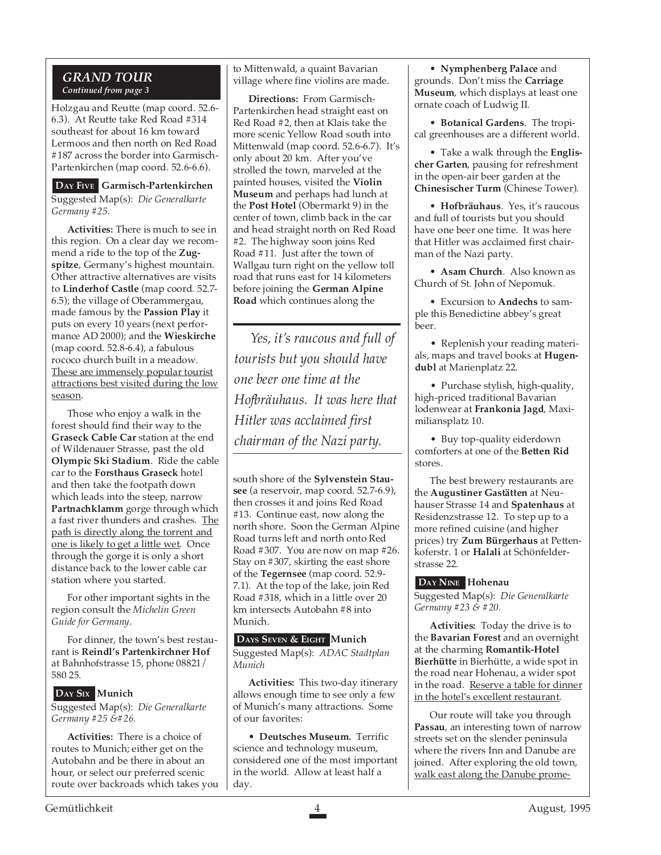#### *GRAND TOUR Continued from page 3*

Holzgau and Reutte (map coord. 52.6- 6.3). At Reutte take Red Road #314 southeast for about 16 km toward Lermoos and then north on Red Road #187 across the border into Garmisch-Partenkirchen (map coord. 52.6-6.6).

**DAY FIVE Garmisch-Partenkirchen** Suggested Map(s): *Die Generalkarte Germany #25.*

**Activities:** There is much to see in this region. On a clear day we recommend a ride to the top of the **Zugspitze**, Germany's highest mountain. Other attractive alternatives are visits to **Linderhof Castle** (map coord. 52.7- 6.5); the village of Oberammergau, made famous by the **Passion Play** it puts on every 10 years (next performance AD 2000); and the **Wieskirche** (map coord. 52.8-6.4), a fabulous rococo church built in a meadow. These are immensely popular tourist attractions best visited during the low season.

Those who enjoy a walk in the forest should find their way to the **Graseck Cable Car** station at the end of Wildenauer Strasse, past the old **Olympic Ski Stadium**. Ride the cable car to the **Forsthaus Graseck** hotel and then take the footpath down which leads into the steep, narrow **Partnachklamm** gorge through which a fast river thunders and crashes. The path is directly along the torrent and one is likely to get a little wet. Once through the gorge it is only a short distance back to the lower cable car station where you started.

For other important sights in the region consult the *Michelin Green Guide for Germany*.

For dinner, the town's best restaurant is **Reindl's Partenkirchner Hof** at Bahnhofstrasse 15, phone 08821/ 580 25.

#### **DAY SIX Munich**

Suggested Map(s): *Die Generalkarte Germany* #25  $&$  #26.

**Activities:** There is a choice of routes to Munich; either get on the Autobahn and be there in about an hour, or select our preferred scenic route over backroads which takes you to Mittenwald, a quaint Bavarian village where fine violins are made.

**Directions:** From Garmisch-Partenkirchen head straight east on Red Road #2, then at Klais take the more scenic Yellow Road south into Mittenwald (map coord. 52.6-6.7). It's only about 20 km. After you've strolled the town, marveled at the painted houses, visited the **Violin Museum** and perhaps had lunch at the **Post Hotel** (Obermarkt 9) in the center of town, climb back in the car and head straight north on Red Road #2. The highway soon joins Red Road #11. Just after the town of Wallgau turn right on the yellow toll road that runs east for 14 kilometers before joining the **German Alpine Road** which continues along the

*Yes, it's raucous and full of tourists but you should have one beer one time at the Hofbräuhaus. It was here that Hitler was acclaimed first chairman of the Nazi party.*

south shore of the **Sylvenstein Stausee** (a reservoir, map coord. 52.7-6.9), then crosses it and joins Red Road #13. Continue east, now along the north shore. Soon the German Alpine Road turns left and north onto Red Road #307. You are now on map #26. Stay on #307, skirting the east shore of the **Tegernsee** (map coord. 52.9- 7.1). At the top of the lake, join Red Road #318, which in a little over 20 km intersects Autobahn #8 into Munich.

**DAYS SEVEN & EIGHT Munich** Suggested Map(s): *ADAC Stadtplan Munich*

**Activities:** This two-day itinerary allows enough time to see only a few of Munich's many attractions. Some of our favorites:

• **Deutsches Museum.** Terrific science and technology museum, considered one of the most important in the world. Allow at least half a day.

• **Nymphenberg Palace** and grounds. Don't miss the **Carriage Museum**, which displays at least one ornate coach of Ludwig II.

• **Botanical Gardens**. The tropical greenhouses are a different world.

• Take a walk through the **Englischer Garten**, pausing for refreshment in the open-air beer garden at the **Chinesischer Turm** (Chinese Tower).

• **Hofbräuhaus**. Yes, it's raucous and full of tourists but you should have one beer one time. It was here that Hitler was acclaimed first chairman of the Nazi party.

• **Asam Church**. Also known as Church of St. John of Nepomuk.

• Excursion to **Andechs** to sample this Benedictine abbey's great beer.

• Replenish your reading materials, maps and travel books at **Hugendubl** at Marienplatz 22.

• Purchase stylish, high-quality, high-priced traditional Bavarian lodenwear at **Frankonia Jagd**, Maximiliansplatz 10.

• Buy top-quality eiderdown comforters at one of the **Betten Rid** stores.

The best brewery restaurants are the **Augustiner Gastätten** at Neuhauser Strasse 14 and **Spatenhaus** at Residenzstrasse 12. To step up to a more refined cuisine (and higher prices) try **Zum Bürgerhaus** at Pettenkoferstr. 1 or **Halali** at Schönfelderstrasse 22.

#### **DAY NINE Hohenau**

Suggested Map(s): *Die Generalkarte Germany #23 & #20.*

**Activities:** Today the drive is to the **Bavarian Forest** and an overnight at the charming **Romantik-Hotel Bierhütte** in Bierhütte, a wide spot in the road near Hohenau, a wider spot in the road. Reserve a table for dinner in the hotel's excellent restaurant.

Our route will take you through **Passau**, an interesting town of narrow streets set on the slender peninsula where the rivers Inn and Danube are joined. After exploring the old town, walk east along the Danube prome-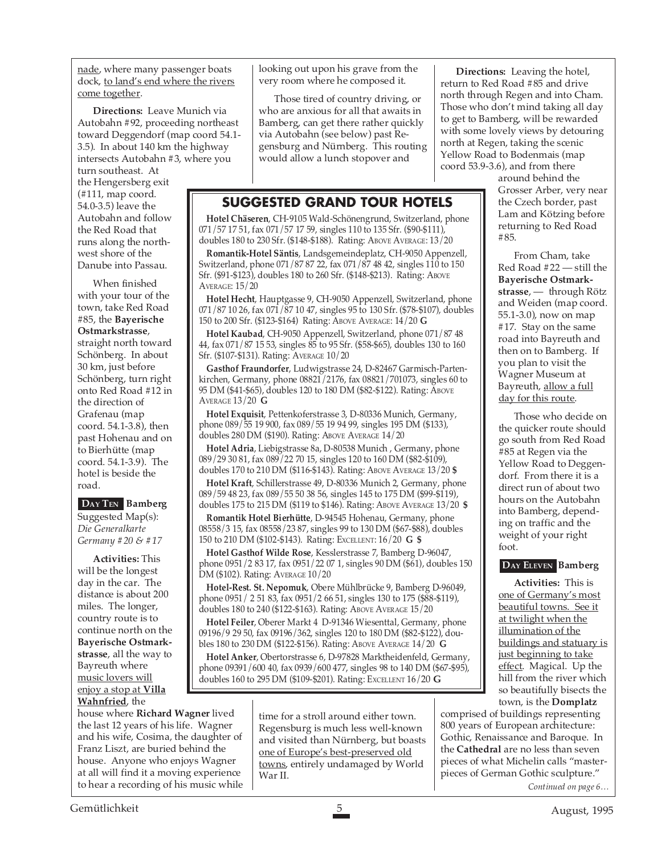nade, where many passenger boats dock, to land's end where the rivers come together.

**Directions:** Leave Munich via Autobahn #92, proceeding northeast toward Deggendorf (map coord 54.1- 3.5). In about 140 km the highway intersects Autobahn #3, where you turn southeast. At

the Hengersberg exit (#111, map coord. 54.0-3.5) leave the Autobahn and follow the Red Road that runs along the northwest shore of the Danube into Passau.

When finished with your tour of the town, take Red Road #85, the **Bayerische Ostmarkstrasse**, straight north toward Schönberg. In about 30 km, just before Schönberg, turn right onto Red Road #12 in the direction of Grafenau (map coord. 54.1-3.8), then past Hohenau and on to Bierhütte (map coord. 54.1-3.9). The hotel is beside the road.

**DAY TEN Bamberg**

Suggested Map(s): *Die Generalkarte Germany #20 & #17*

**Activities:** This will be the longest day in the car. The distance is about 200 miles. The longer, country route is to continue north on the **Bayerische Ostmarkstrasse**, all the way to Bayreuth where music lovers will enjoy a stop at **Villa Wahnfried**, the

house where **Richard Wagner** lived the last 12 years of his life. Wagner and his wife, Cosima, the daughter of Franz Liszt, are buried behind the house. Anyone who enjoys Wagner at all will find it a moving experience to hear a recording of his music while looking out upon his grave from the very room where he composed it.

Those tired of country driving, or who are anxious for all that awaits in Bamberg, can get there rather quickly via Autobahn (see below) past Regensburg and Nürnberg. This routing would allow a lunch stopover and

#### **SUGGESTED GRAND TOUR HOTELS**

**Hotel Chäseren**, CH-9105 Wald-Schönengrund, Switzerland, phone 071/57 17 51, fax 071/57 17 59, singles 110 to 135 Sfr. (\$90-\$111), doubles 180 to 230 Sfr. (\$148-\$188). Rating: ABOVE AVERAGE: 13/20

**Romantik-Hotel Säntis**, Landsgemeindeplatz, CH-9050 Appenzell, Switzerland, phone 071/87 87 22, fax 071/87 48 42, singles 110 to 150 Sfr. (\$91-\$123), doubles 180 to 260 Sfr. (\$148-\$213). Rating: ABOVE AVERAGE: 15/20

**Hotel Hecht**, Hauptgasse 9, CH-9050 Appenzell, Switzerland, phone  $071/87 10 26$ , fax  $071/87 10 47$ , singles 95 to 130 Sfr. (\$78-\$107), doubles 150 to 200 Sfr. (\$123-\$164) Rating: ABOVE AVERAGE: 14/20 **G**

**Hotel Kaubad**, CH-9050 Appenzell, Switzerland, phone 071/87 48 44, fax 071/87 15 53, singles 85 to 95 Sfr. (\$58-\$65), doubles 130 to 160 Sfr. (\$107-\$131). Rating: AVERAGE 10/20

**Gasthof Fraundorfer**, Ludwigstrasse 24, D-82467 Garmisch-Partenkirchen, Germany, phone 08821/2176, fax 08821/701073, singles 60 to 95 DM (\$41-\$65), doubles 120 to 180 DM (\$82-\$122). Rating: ABOVE AVERAGE 13/20 **G**

**Hotel Exquisit**, Pettenkoferstrasse 3, D-80336 Munich, Germany, phone 089/55 19 900, fax 089/55 19 94 99, singles 195 DM (\$133), doubles 280 DM (\$190). Rating: ABOVE AVERAGE 14/20

**Hotel Adria**, Liebigstrasse 8a, D-80538 Munich , Germany, phone 089/29 30 81, fax 089/22 70 15, singles 120 to 160 DM (\$82-\$109), doubles 170 to 210 DM (\$116-\$143). Rating: ABOVE AVERAGE 13/20 **\$**

**Hotel Kraft**, Schillerstrasse 49, D-80336 Munich 2, Germany, phone 089/59 48 23, fax 089/55 50 38 56, singles 145 to 175 DM (\$99-\$119), doubles 175 to 215 DM (\$119 to \$146). Rating: ABOVE AVERAGE 13/20 **\$**

**Romantik Hotel Bierhütte**, D-94545 Hohenau, Germany, phone 08558/3 15, fax 08558/23 87, singles 99 to 130 DM (\$67-\$88), doubles 150 to 210 DM (\$102-\$143). Rating: EXCELLENT: 16/20 **G \$**

**Hotel Gasthof Wilde Rose**, Kesslerstrasse 7, Bamberg D-96047, phone 0951/2 83 17, fax 0951/22 07 1, singles 90 DM (\$61), doubles 150 DM (\$102). Rating: AVERAGE 10/20

**Hotel-Rest. St. Nepomuk**, Obere Mühlbrücke 9, Bamberg D-96049, phone 0951/ 2 51 83, fax 0951/2 66 51, singles 130 to 175 (\$88-\$119), doubles 180 to 240 (\$122-\$163). Rating: ABOVE AVERAGE 15/20

**Hotel Feiler**, Oberer Markt 4 D-91346 Wiesenttal, Germany, phone 09196/9 29 50, fax 09196/362, singles 120 to 180 DM (\$82-\$122), doubles 180 to 230 DM (\$122-\$156). Rating: ABOVE AVERAGE 14/20 **G**

**Hotel Anker**, Obertorstrasse 6, D-97828 Marktheidenfeld, Germany, phone 09391/600 40, fax 0939/600 477, singles 98 to 140 DM (\$67-\$95), doubles 160 to 295 DM (\$109-\$201). Rating: EXCELLENT 16/20 **G**

> time for a stroll around either town. Regensburg is much less well-known and visited than Nürnberg, but boasts one of Europe's best-preserved old towns, entirely undamaged by World War II.

**Directions:** Leaving the hotel, return to Red Road #85 and drive north through Regen and into Cham. Those who don't mind taking all day to get to Bamberg, will be rewarded with some lovely views by detouring north at Regen, taking the scenic Yellow Road to Bodenmais (map coord 53.9-3.6), and from there

around behind the Grosser Arber, very near the Czech border, past Lam and Kötzing before returning to Red Road #85.

From Cham, take Red Road #22 — still the **Bayerische Ostmarkstrasse**, — through Rötz and Weiden (map coord. 55.1-3.0), now on map #17. Stay on the same road into Bayreuth and then on to Bamberg. If you plan to visit the Wagner Museum at Bayreuth, allow a full day for this route.

Those who decide on the quicker route should go south from Red Road #85 at Regen via the Yellow Road to Deggendorf. From there it is a direct run of about two hours on the Autobahn into Bamberg, depending on traffic and the weight of your right foot.

#### **DAY ELEVEN Bamberg**

**Activities:** This is one of Germany's most beautiful towns. See it at twilight when the illumination of the buildings and statuary is just beginning to take effect. Magical. Up the hill from the river which so beautifully bisects the town, is the **Domplatz**

comprised of buildings representing 800 years of European architecture: Gothic, Renaissance and Baroque. In the **Cathedral** are no less than seven pieces of what Michelin calls "masterpieces of German Gothic sculpture." *Continued on page 6…*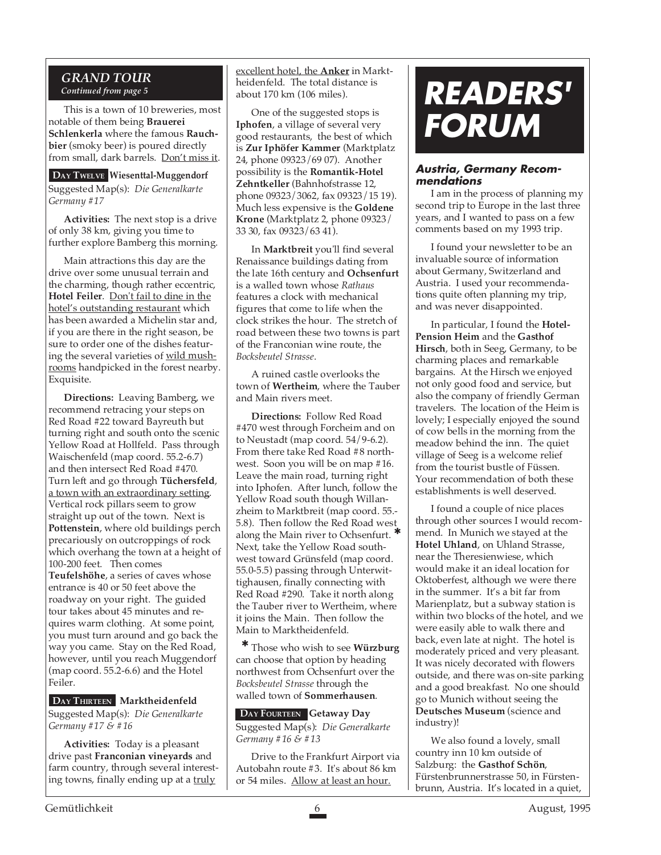#### *GRAND TOUR Continued from page 5*

This is a town of 10 breweries, most notable of them being **Brauerei Schlenkerla** where the famous **Rauchbier** (smoky beer) is poured directly from small, dark barrels. Don't miss it.

**DAY TWELVE Wiesenttal-Muggendorf** Suggested Map(s): *Die Generalkarte Germany #17*

**Activities:** The next stop is a drive of only 38 km, giving you time to further explore Bamberg this morning.

Main attractions this day are the drive over some unusual terrain and the charming, though rather eccentric, **Hotel Feiler**. Don't fail to dine in the hotel's outstanding restaurant which has been awarded a Michelin star and, if you are there in the right season, be sure to order one of the dishes featuring the several varieties of wild mushrooms handpicked in the forest nearby. Exquisite.

**Directions:** Leaving Bamberg, we recommend retracing your steps on Red Road #22 toward Bayreuth but turning right and south onto the scenic Yellow Road at Hollfeld. Pass through Waischenfeld (map coord. 55.2-6.7) and then intersect Red Road #470. Turn left and go through **Tüchersfeld**, a town with an extraordinary setting. Vertical rock pillars seem to grow straight up out of the town. Next is **Pottenstein**, where old buildings perch precariously on outcroppings of rock which overhang the town at a height of 100-200 feet. Then comes **Teufelshöhe**, a series of caves whose entrance is 40 or 50 feet above the roadway on your right. The guided tour takes about 45 minutes and requires warm clothing. At some point, you must turn around and go back the way you came. Stay on the Red Road, however, until you reach Muggendorf (map coord.  $55.2-6.6$ ) and the Hotel Feiler.

**DAY THIRTEEN Marktheidenfeld** Suggested Map(s): *Die Generalkarte Germany #17 & #16*

**Activities:** Today is a pleasant drive past **Franconian vineyards** and farm country, through several interesting towns, finally ending up at a truly

excellent hotel, the **Anker** in Marktheidenfeld. The total distance is about 170 km (106 miles).

One of the suggested stops is **Iphofen**, a village of several very good restaurants, the best of which is **Zur Iphöfer Kammer** (Marktplatz 24, phone 09323/69 07). Another possibility is the **Romantik-Hotel Zehntkeller** (Bahnhofstrasse 12, phone 09323/3062, fax 09323/15 19). Much less expensive is the **Goldene Krone** (Marktplatz 2, phone 09323/ 33 30, fax 09323/63 41).

In **Marktbreit** you'll find several Renaissance buildings dating from the late 16th century and **Ochsenfurt** is a walled town whose *Rathaus* features a clock with mechanical figures that come to life when the clock strikes the hour. The stretch of road between these two towns is part of the Franconian wine route, the *Bocksbeutel Strasse*.

A ruined castle overlooks the town of **Wertheim**, where the Tauber and Main rivers meet.

**Directions:** Follow Red Road #470 west through Forcheim and on to Neustadt (map coord. 54/9-6.2). From there take Red Road #8 northwest. Soon you will be on map #16. Leave the main road, turning right into Iphofen. After lunch, follow the Yellow Road south though Willanzheim to Marktbreit (map coord. 55.- 5.8). Then follow the Red Road west along the Main river to Ochsenfurt. \* Next, take the Yellow Road southwest toward Grünsfeld (map coord. 55.0-5.5) passing through Unterwittighausen, finally connecting with Red Road #290. Take it north along the Tauber river to Wertheim, where it joins the Main. Then follow the Main to Marktheidenfeld.

Those who wish to see **Würzburg** can choose that option by heading northwest from Ochsenfurt over the *Bocksbeutel Strasse* through the walled town of **Sommerhausen**. ✱

**DAY FOURTEEN Getaway Day** Suggested Map(s): *Die Generalkarte Germany #16 & #13*

Drive to the Frankfurt Airport via Autobahn route #3. It's about 86 km or 54 miles. Allow at least an hour.

### **L**<br> **DEANE VUFFLENS-LE- READERS' FORUM**

#### **Austria, Germany Recommendations**

I am in the process of planning my second trip to Europe in the last three years, and I wanted to pass on a few comments based on my 1993 trip.

I found your newsletter to be an invaluable source of information about Germany, Switzerland and Austria. I used your recommendations quite often planning my trip, and was never disappointed.

In particular, I found the **Hotel-Pension Heim** and the **Gasthof Hirsch**, both in Seeg, Germany, to be charming places and remarkable bargains. At the Hirsch we enjoyed not only good food and service, but also the company of friendly German travelers. The location of the Heim is lovely; I especially enjoyed the sound of cow bells in the morning from the meadow behind the inn. The quiet village of Seeg is a welcome relief from the tourist bustle of Füssen. Your recommendation of both these establishments is well deserved.

I found a couple of nice places through other sources I would recommend. In Munich we stayed at the **Hotel Uhland**, on Uhland Strasse, near the Theresienwiese, which would make it an ideal location for Oktoberfest, although we were there in the summer. It's a bit far from Marienplatz, but a subway station is within two blocks of the hotel, and we were easily able to walk there and back, even late at night. The hotel is moderately priced and very pleasant. It was nicely decorated with flowers outside, and there was on-site parking and a good breakfast. No one should go to Munich without seeing the **Deutsches Museum** (science and industry)!

We also found a lovely, small country inn 10 km outside of Salzburg: the **Gasthof Schön**, Fürstenbrunnerstrasse 50, in Fürstenbrunn, Austria. It's located in a quiet,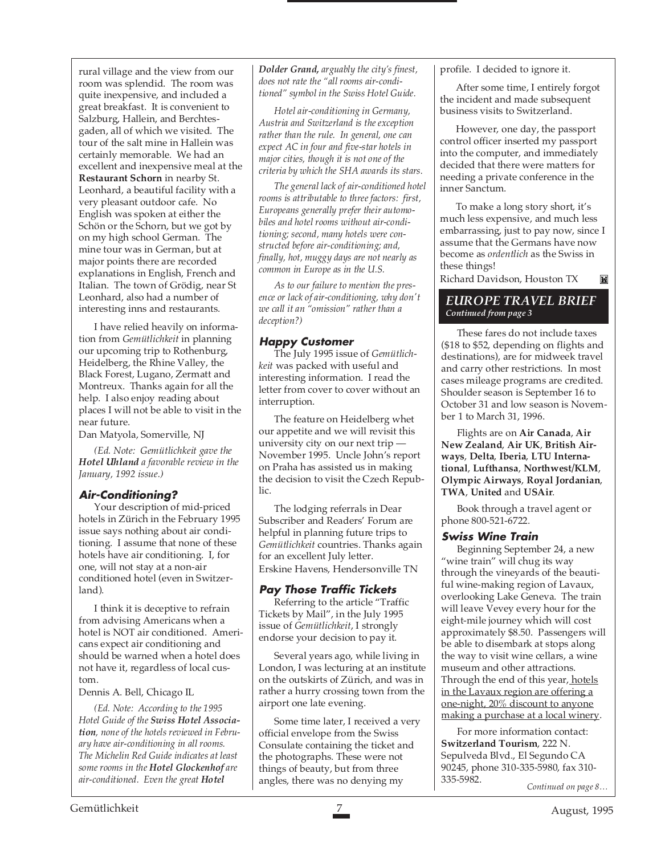rural village and the view from our room was splendid. The room was quite inexpensive, and included a great breakfast. It is convenient to Salzburg, Hallein, and Berchtesgaden, all of which we visited. The tour of the salt mine in Hallein was certainly memorable. We had an excellent and inexpensive meal at the **Restaurant Schorn** in nearby St. Leonhard, a beautiful facility with a very pleasant outdoor cafe. No English was spoken at either the Schön or the Schorn, but we got by on my high school German. The mine tour was in German, but at major points there are recorded explanations in English, French and Italian. The town of Grödig, near St Leonhard, also had a number of interesting inns and restaurants.

I have relied heavily on information from *Gemütlichkeit* in planning our upcoming trip to Rothenburg, Heidelberg, the Rhine Valley, the Black Forest, Lugano, Zermatt and Montreux. Thanks again for all the help. I also enjoy reading about places I will not be able to visit in the near future.

Dan Matyola, Somerville, NJ

*(Ed. Note: Gemütlichkeit gave the Hotel Uhland a favorable review in the January, 1992 issue.)*

#### **Air-Conditioning?**

Your description of mid-priced hotels in Zürich in the February 1995 issue says nothing about air conditioning. I assume that none of these hotels have air conditioning. I, for one, will not stay at a non-air conditioned hotel (even in Switzerland).

I think it is deceptive to refrain from advising Americans when a hotel is NOT air conditioned. Americans expect air conditioning and should be warned when a hotel does not have it, regardless of local custom.

Dennis A. Bell, Chicago IL

*(Ed. Note: According to the 1995 Hotel Guide of the Swiss Hotel Association, none of the hotels reviewed in February have air-conditioning in all rooms. The Michelin Red Guide indicates at least some rooms in the Hotel Glockenhof are air-conditioned. Even the great Hotel*

*Dolder Grand, arguably the city's finest, does not rate the "all rooms air-conditioned" symbol in the Swiss Hotel Guide.*

*Hotel air-conditioning in Germany, Austria and Switzerland is the exception rather than the rule. In general, one can expect AC in four and five-star hotels in major cities, though it is not one of the criteria by which the SHA awards its stars.*

*The general lack of air-conditioned hotel rooms is attributable to three factors: first, Europeans generally prefer their automobiles and hotel rooms without air-conditioning; second, many hotels were constructed before air-conditioning; and, finally, hot, muggy days are not nearly as common in Europe as in the U.S.*

*As to our failure to mention the presence or lack of air-conditioning, why don't we call it an "omission" rather than a deception?)*

#### **Happy Customer**

The July 1995 issue of *Gemütlichkeit* was packed with useful and interesting information. I read the letter from cover to cover without an interruption.

The feature on Heidelberg whet our appetite and we will revisit this university city on our next trip — November 1995. Uncle John's report on Praha has assisted us in making the decision to visit the Czech Republic.

The lodging referrals in Dear Subscriber and Readers' Forum are helpful in planning future trips to *Gemütlichkeit* countries. Thanks again for an excellent July letter. Erskine Havens, Hendersonville TN

#### **Pay Those Traffic Tickets**

Referring to the article "Traffic Tickets by Mail", in the July 1995 issue of *Gemütlichkeit*, I strongly endorse your decision to pay it.

Several years ago, while living in London, I was lecturing at an institute on the outskirts of Zürich, and was in rather a hurry crossing town from the airport one late evening.

Some time later, I received a very official envelope from the Swiss Consulate containing the ticket and the photographs. These were not things of beauty, but from three angles, there was no denying my

profile. I decided to ignore it.

After some time, I entirely forgot the incident and made subsequent business visits to Switzerland.

However, one day, the passport control officer inserted my passport into the computer, and immediately decided that there were matters for needing a private conference in the inner Sanctum.

To make a long story short, it's much less expensive, and much less embarrassing, just to pay now, since I assume that the Germans have now become as *ordentlich* as the Swiss in these things! M

Richard Davidson, Houston TX

#### *EUROPE TRAVEL BRIEF Continued from page 3*

These fares do not include taxes (\$18 to \$52, depending on flights and destinations), are for midweek travel and carry other restrictions. In most cases mileage programs are credited. Shoulder season is September 16 to October 31 and low season is November 1 to March 31, 1996.

Flights are on **Air Canada**, **Air New Zealand**, **Air UK**, **British Airways**, **Delta**, **Iberia**, **LTU International**, **Lufthansa**, **Northwest/KLM**, **Olympic Airways**, **Royal Jordanian**, **TWA**, **United** and **USAir**.

Book through a travel agent or phone 800-521-6722.

#### **Swiss Wine Train**

Beginning September 24, a new "wine train" will chug its way through the vineyards of the beautiful wine-making region of Lavaux, overlooking Lake Geneva. The train will leave Vevey every hour for the eight-mile journey which will cost approximately \$8.50. Passengers will be able to disembark at stops along the way to visit wine cellars, a wine museum and other attractions. Through the end of this year, hotels in the Lavaux region are offering a one-night, 20% discount to anyone making a purchase at a local winery.

For more information contact: **Switzerland Tourism**, 222 N. Sepulveda Blvd., El Segundo CA 90245, phone 310-335-5980, fax 310- 335-5982. *Continued on page 8…*

Gemütlichkeit 7 August, 1995